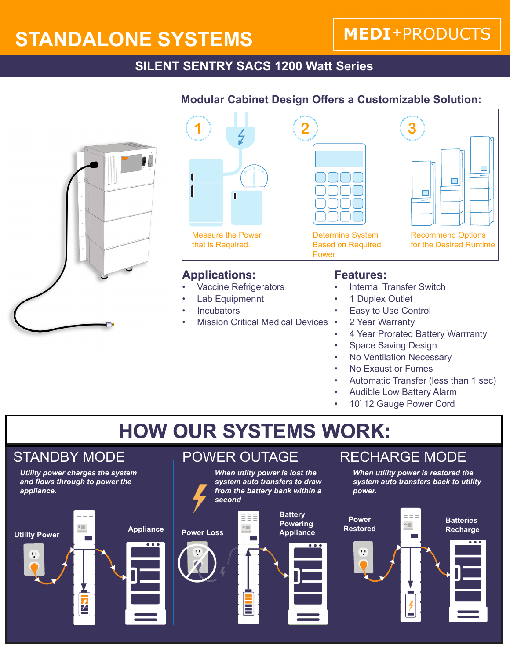# **STANDALONE SYSTEMS**

## **MEDI+PRODUCTS**

### **SILENT SENTRY SACS 1200 Watt Series**





#### **Applications:**

- Vaccine Refrigerators
- Lab Equipmennt
- **Incubators**
- Mission Critical Medical Devices

#### **Modular Cabinet Design Offers a Customizable Solution:**



- Internal Transfer Switch
- 1 Duplex Outlet
- Easy to Use Control
- 2 Year Warranty
- 4 Year Prorated Battery Warrranty
- Space Saving Design
- No Ventilation Necessary
- No Exaust or Fumes
- Automatic Transfer (less than 1 sec)
- Audible Low Battery Alarm
- 10' 12 Gauge Power Cord

# **HOW OUR SYSTEMS WORK:**